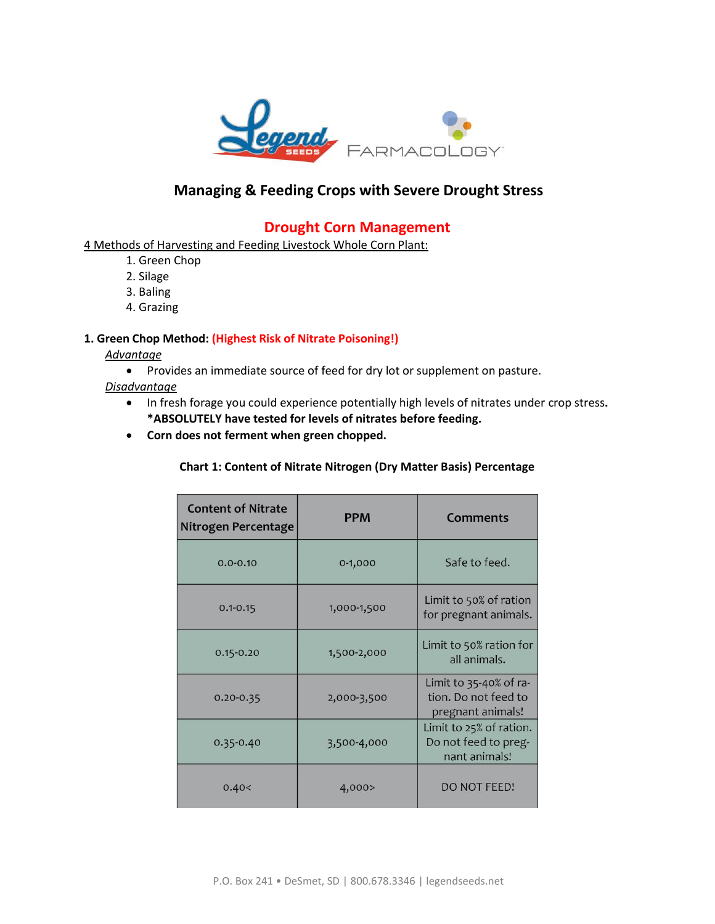

# **Managing & Feeding Crops with Severe Drought Stress**

## **Drought Corn Management**

4 Methods of Harvesting and Feeding Livestock Whole Corn Plant:

- 1. Green Chop
- 2. Silage
- 3. Baling
- 4. Grazing

#### **1. Green Chop Method: (Highest Risk of Nitrate Poisoning!)**

*Advantage* 

- Provides an immediate source of feed for dry lot or supplement on pasture.
- *Disadvantage* 
	- In fresh forage you could experience potentially high levels of nitrates under crop stress**. \*ABSOLUTELY have tested for levels of nitrates before feeding.**
	- **Corn does not ferment when green chopped.**

#### **Chart 1: Content of Nitrate Nitrogen (Dry Matter Basis) Percentage**

| <b>Content of Nitrate</b><br>Nitrogen Percentage | <b>PPM</b>  | Comments                                                            |
|--------------------------------------------------|-------------|---------------------------------------------------------------------|
| $0.0 - 0.10$                                     | $0-1,000$   | Safe to feed.                                                       |
| $0.1 - 0.15$                                     | 1,000-1,500 | Limit to 50% of ration<br>for pregnant animals.                     |
| $0.15 - 0.20$                                    | 1,500-2,000 | Limit to 50% ration for<br>all animals.                             |
| $0.20 - 0.35$                                    | 2,000-3,500 | Limit to 35-40% of ra-<br>tion. Do not feed to<br>pregnant animals! |
| $0.35 - 0.40$                                    | 3,500-4,000 | Limit to 25% of ration.<br>Do not feed to preg-<br>nant animals!    |
| 0.40<                                            | 4,000>      | DO NOT FEED!                                                        |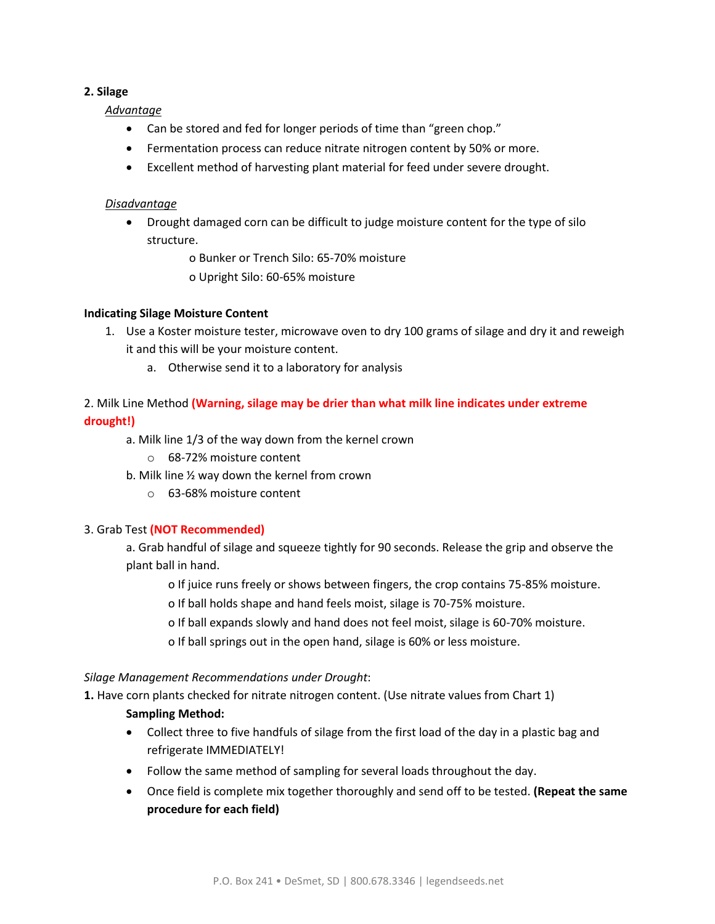## **2. Silage**

*Advantage* 

- Can be stored and fed for longer periods of time than "green chop."
- Fermentation process can reduce nitrate nitrogen content by 50% or more.
- Excellent method of harvesting plant material for feed under severe drought.

## *Disadvantage*

 Drought damaged corn can be difficult to judge moisture content for the type of silo structure.

o Bunker or Trench Silo: 65-70% moisture

o Upright Silo: 60-65% moisture

## **Indicating Silage Moisture Content**

- 1. Use a Koster moisture tester, microwave oven to dry 100 grams of silage and dry it and reweigh it and this will be your moisture content.
	- a. Otherwise send it to a laboratory for analysis

## 2. Milk Line Method **(Warning, silage may be drier than what milk line indicates under extreme drought!)**

- a. Milk line 1/3 of the way down from the kernel crown
	- o 68-72% moisture content
- b. Milk line ½ way down the kernel from crown
	- o 63-68% moisture content

### 3. Grab Test **(NOT Recommended)**

a. Grab handful of silage and squeeze tightly for 90 seconds. Release the grip and observe the plant ball in hand.

- o If juice runs freely or shows between fingers, the crop contains 75-85% moisture.
- o If ball holds shape and hand feels moist, silage is 70-75% moisture.
- o If ball expands slowly and hand does not feel moist, silage is 60-70% moisture.
- o If ball springs out in the open hand, silage is 60% or less moisture.

### *Silage Management Recommendations under Drought*:

**1.** Have corn plants checked for nitrate nitrogen content. (Use nitrate values from Chart 1)

### **Sampling Method:**

- Collect three to five handfuls of silage from the first load of the day in a plastic bag and refrigerate IMMEDIATELY!
- Follow the same method of sampling for several loads throughout the day.
- Once field is complete mix together thoroughly and send off to be tested. **(Repeat the same procedure for each field)**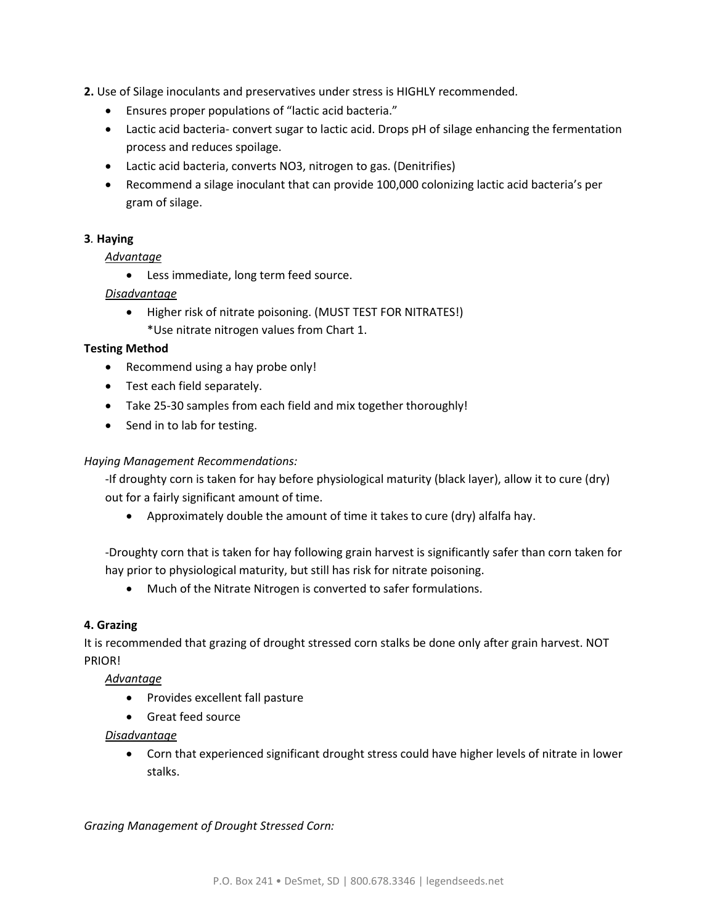**2.** Use of Silage inoculants and preservatives under stress is HIGHLY recommended.

- Ensures proper populations of "lactic acid bacteria."
- Lactic acid bacteria- convert sugar to lactic acid. Drops pH of silage enhancing the fermentation process and reduces spoilage.
- Lactic acid bacteria, converts NO3, nitrogen to gas. (Denitrifies)
- Recommend a silage inoculant that can provide 100,000 colonizing lactic acid bacteria's per gram of silage.

## **3***.* **Haying**

## *Advantage*

Less immediate, long term feed source.

## *Disadvantage*

• Higher risk of nitrate poisoning. (MUST TEST FOR NITRATES!) \*Use nitrate nitrogen values from Chart 1.

### **Testing Method**

- Recommend using a hay probe only!
- Test each field separately.
- Take 25-30 samples from each field and mix together thoroughly!
- Send in to lab for testing.

### *Haying Management Recommendations:*

-If droughty corn is taken for hay before physiological maturity (black layer), allow it to cure (dry) out for a fairly significant amount of time.

Approximately double the amount of time it takes to cure (dry) alfalfa hay.

-Droughty corn that is taken for hay following grain harvest is significantly safer than corn taken for hay prior to physiological maturity, but still has risk for nitrate poisoning.

Much of the Nitrate Nitrogen is converted to safer formulations.

### **4. Grazing**

It is recommended that grazing of drought stressed corn stalks be done only after grain harvest. NOT PRIOR!

### *Advantage*

- Provides excellent fall pasture
- Great feed source

### *Disadvantage*

 Corn that experienced significant drought stress could have higher levels of nitrate in lower stalks.

### *Grazing Management of Drought Stressed Corn:*